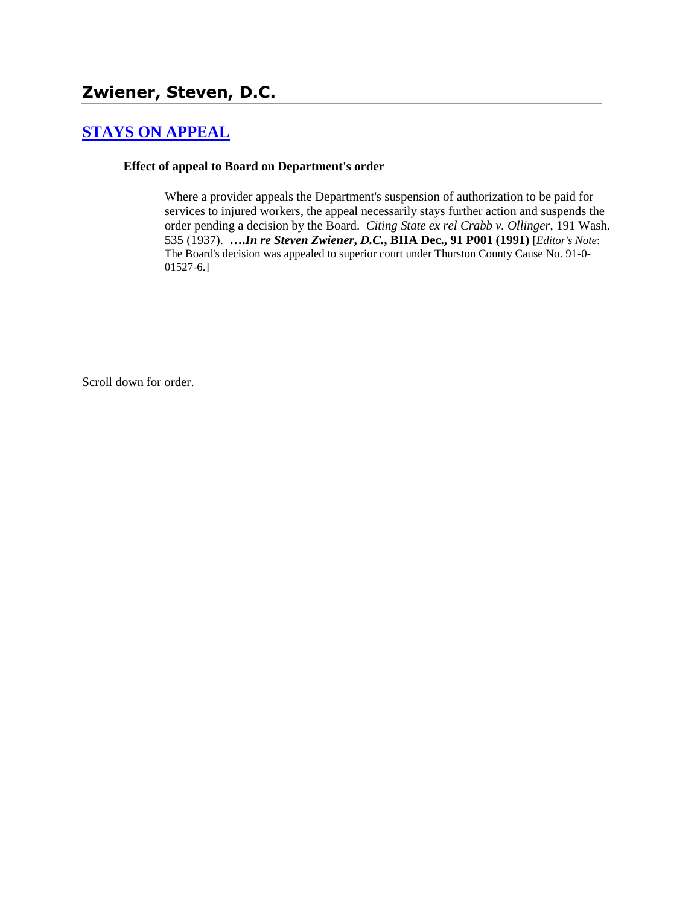## **[STAYS ON APPEAL](http://www.biia.wa.gov/SDSubjectIndex.html#STAYS_ON_APPEAL)**

#### **Effect of appeal to Board on Department's order**

Where a provider appeals the Department's suspension of authorization to be paid for services to injured workers, the appeal necessarily stays further action and suspends the order pending a decision by the Board. *Citing State ex rel Crabb v. Ollinger*, 191 Wash. 535 (1937). **….***In re Steven Zwiener***,** *D.C.***, BIIA Dec., 91 P001 (1991)** [*Editor's Note*: The Board's decision was appealed to superior court under Thurston County Cause No. 91-0- 01527-6.]

Scroll down for order.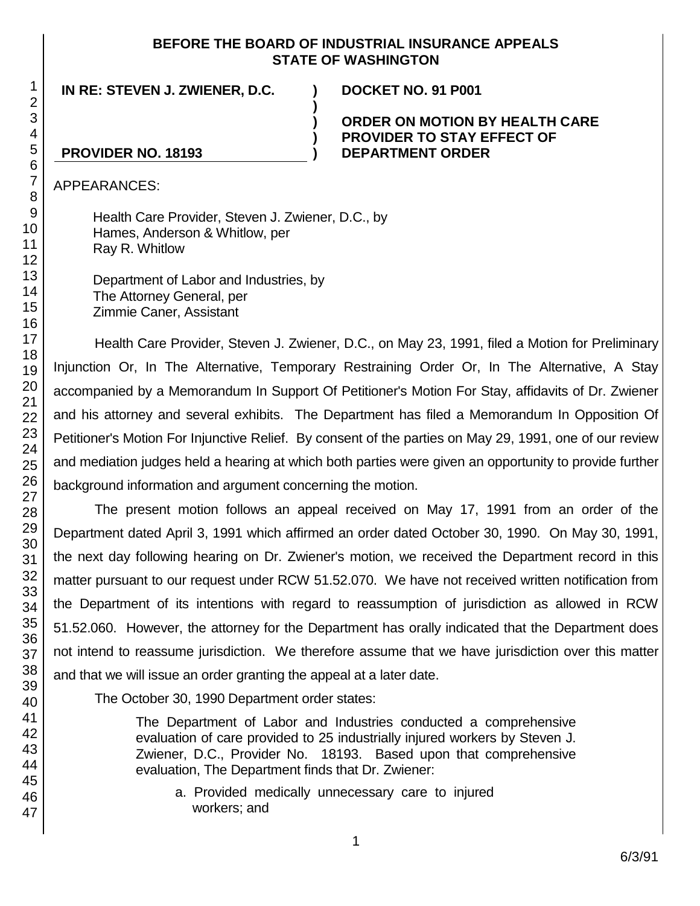#### **BEFORE THE BOARD OF INDUSTRIAL INSURANCE APPEALS STATE OF WASHINGTON**

**)**

**) ) )**

**IN RE: STEVEN J. ZWIENER, D.C. ) DOCKET NO. 91 P001**

#### **ORDER ON MOTION BY HEALTH CARE PROVIDER TO STAY EFFECT OF DEPARTMENT ORDER**

# **PROVIDER NO. 18193**

APPEARANCES:

Health Care Provider, Steven J. Zwiener, D.C., by Hames, Anderson & Whitlow, per Ray R. Whitlow

Department of Labor and Industries, by The Attorney General, per Zimmie Caner, Assistant

Health Care Provider, Steven J. Zwiener, D.C., on May 23, 1991, filed a Motion for Preliminary Injunction Or, In The Alternative, Temporary Restraining Order Or, In The Alternative, A Stay accompanied by a Memorandum In Support Of Petitioner's Motion For Stay, affidavits of Dr. Zwiener and his attorney and several exhibits. The Department has filed a Memorandum In Opposition Of Petitioner's Motion For Injunctive Relief. By consent of the parties on May 29, 1991, one of our review and mediation judges held a hearing at which both parties were given an opportunity to provide further background information and argument concerning the motion.

The present motion follows an appeal received on May 17, 1991 from an order of the Department dated April 3, 1991 which affirmed an order dated October 30, 1990. On May 30, 1991, the next day following hearing on Dr. Zwiener's motion, we received the Department record in this matter pursuant to our request under RCW 51.52.070. We have not received written notification from the Department of its intentions with regard to reassumption of jurisdiction as allowed in RCW 51.52.060. However, the attorney for the Department has orally indicated that the Department does not intend to reassume jurisdiction. We therefore assume that we have jurisdiction over this matter and that we will issue an order granting the appeal at a later date.

The October 30, 1990 Department order states:

The Department of Labor and Industries conducted a comprehensive evaluation of care provided to 25 industrially injured workers by Steven J. Zwiener, D.C., Provider No. 18193. Based upon that comprehensive evaluation, The Department finds that Dr. Zwiener:

a. Provided medically unnecessary care to injured workers; and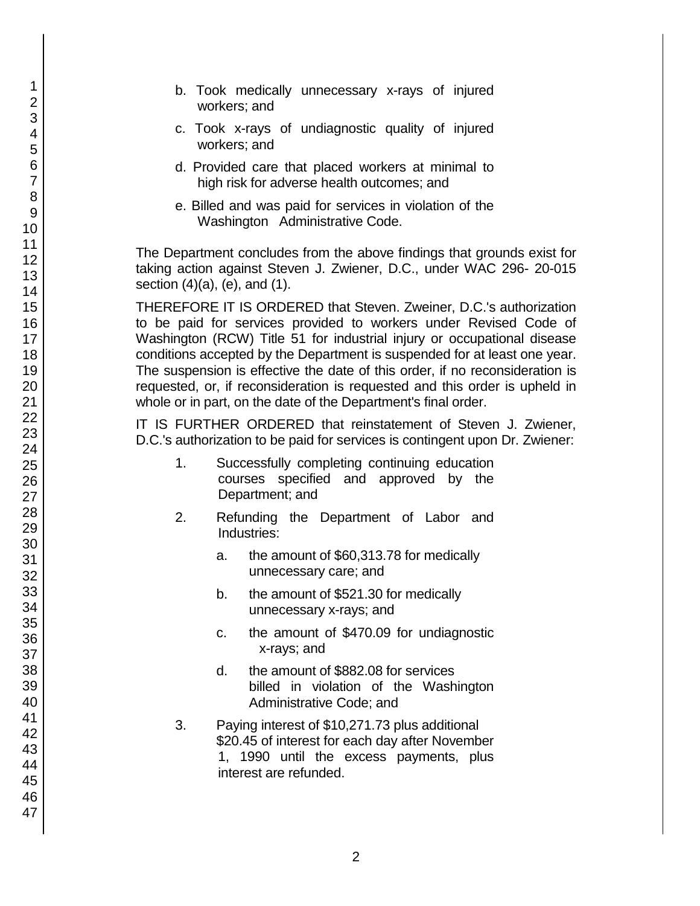- b. Took medically unnecessary x-rays of injured workers; and
- c. Took x-rays of undiagnostic quality of injured workers; and
- d. Provided care that placed workers at minimal to high risk for adverse health outcomes; and
- e. Billed and was paid for services in violation of the Washington Administrative Code.

The Department concludes from the above findings that grounds exist for taking action against Steven J. Zwiener, D.C., under WAC 296- 20-015 section (4)(a), (e), and (1).

THEREFORE IT IS ORDERED that Steven. Zweiner, D.C.'s authorization to be paid for services provided to workers under Revised Code of Washington (RCW) Title 51 for industrial injury or occupational disease conditions accepted by the Department is suspended for at least one year. The suspension is effective the date of this order, if no reconsideration is requested, or, if reconsideration is requested and this order is upheld in whole or in part, on the date of the Department's final order.

IT IS FURTHER ORDERED that reinstatement of Steven J. Zwiener, D.C.'s authorization to be paid for services is contingent upon Dr. Zwiener:

- 1. Successfully completing continuing education courses specified and approved by the Department; and
- 2. Refunding the Department of Labor and Industries:
	- a. the amount of \$60,313.78 for medically unnecessary care; and
	- b. the amount of \$521.30 for medically unnecessary x-rays; and
	- c. the amount of \$470.09 for undiagnostic x-rays; and
	- d. the amount of \$882.08 for services billed in violation of the Washington Administrative Code; and
- 3. Paying interest of \$10,271.73 plus additional \$20.45 of interest for each day after November 1, 1990 until the excess payments, plus interest are refunded.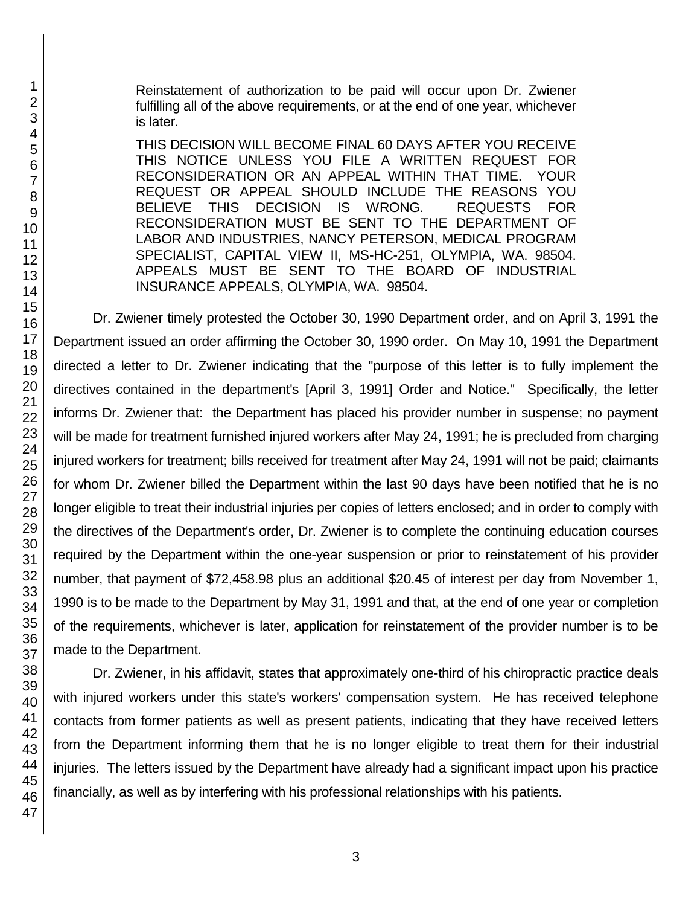Reinstatement of authorization to be paid will occur upon Dr. Zwiener fulfilling all of the above requirements, or at the end of one year, whichever is later.

THIS DECISION WILL BECOME FINAL 60 DAYS AFTER YOU RECEIVE THIS NOTICE UNLESS YOU FILE A WRITTEN REQUEST FOR RECONSIDERATION OR AN APPEAL WITHIN THAT TIME. YOUR REQUEST OR APPEAL SHOULD INCLUDE THE REASONS YOU BELIEVE THIS DECISION IS WRONG. REQUESTS FOR RECONSIDERATION MUST BE SENT TO THE DEPARTMENT OF LABOR AND INDUSTRIES, NANCY PETERSON, MEDICAL PROGRAM SPECIALIST, CAPITAL VIEW II, MS-HC-251, OLYMPIA, WA. 98504. APPEALS MUST BE SENT TO THE BOARD OF INDUSTRIAL INSURANCE APPEALS, OLYMPIA, WA. 98504.

Dr. Zwiener timely protested the October 30, 1990 Department order, and on April 3, 1991 the Department issued an order affirming the October 30, 1990 order. On May 10, 1991 the Department directed a letter to Dr. Zwiener indicating that the "purpose of this letter is to fully implement the directives contained in the department's [April 3, 1991] Order and Notice." Specifically, the letter informs Dr. Zwiener that: the Department has placed his provider number in suspense; no payment will be made for treatment furnished injured workers after May 24, 1991; he is precluded from charging injured workers for treatment; bills received for treatment after May 24, 1991 will not be paid; claimants for whom Dr. Zwiener billed the Department within the last 90 days have been notified that he is no longer eligible to treat their industrial injuries per copies of letters enclosed; and in order to comply with the directives of the Department's order, Dr. Zwiener is to complete the continuing education courses required by the Department within the one-year suspension or prior to reinstatement of his provider number, that payment of \$72,458.98 plus an additional \$20.45 of interest per day from November 1, 1990 is to be made to the Department by May 31, 1991 and that, at the end of one year or completion of the requirements, whichever is later, application for reinstatement of the provider number is to be made to the Department.

Dr. Zwiener, in his affidavit, states that approximately one-third of his chiropractic practice deals with injured workers under this state's workers' compensation system. He has received telephone contacts from former patients as well as present patients, indicating that they have received letters from the Department informing them that he is no longer eligible to treat them for their industrial injuries. The letters issued by the Department have already had a significant impact upon his practice financially, as well as by interfering with his professional relationships with his patients.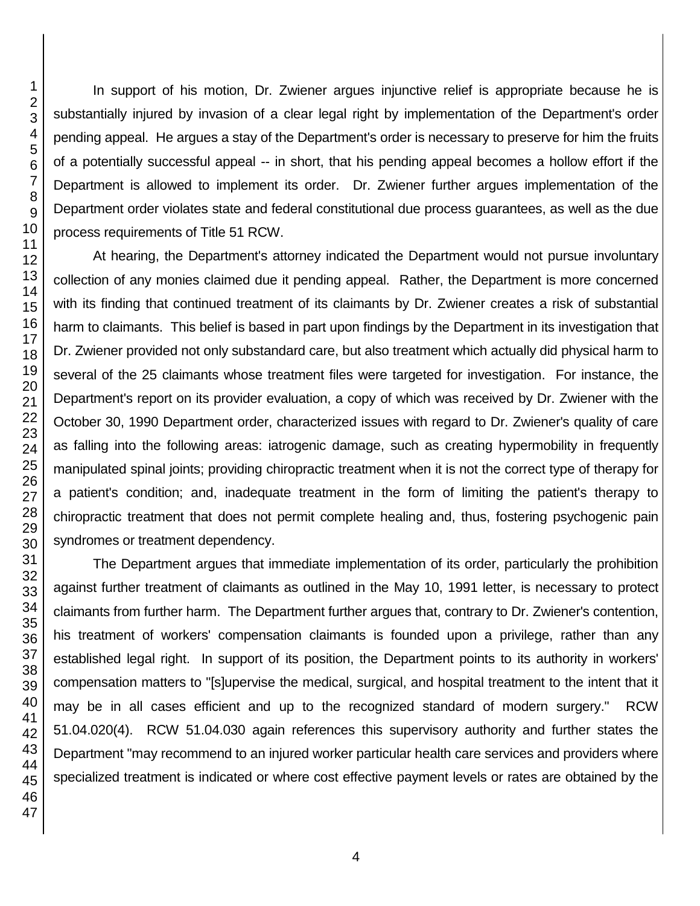In support of his motion, Dr. Zwiener argues injunctive relief is appropriate because he is substantially injured by invasion of a clear legal right by implementation of the Department's order pending appeal. He argues a stay of the Department's order is necessary to preserve for him the fruits of a potentially successful appeal -- in short, that his pending appeal becomes a hollow effort if the Department is allowed to implement its order. Dr. Zwiener further argues implementation of the Department order violates state and federal constitutional due process guarantees, as well as the due process requirements of Title 51 RCW.

At hearing, the Department's attorney indicated the Department would not pursue involuntary collection of any monies claimed due it pending appeal. Rather, the Department is more concerned with its finding that continued treatment of its claimants by Dr. Zwiener creates a risk of substantial harm to claimants. This belief is based in part upon findings by the Department in its investigation that Dr. Zwiener provided not only substandard care, but also treatment which actually did physical harm to several of the 25 claimants whose treatment files were targeted for investigation. For instance, the Department's report on its provider evaluation, a copy of which was received by Dr. Zwiener with the October 30, 1990 Department order, characterized issues with regard to Dr. Zwiener's quality of care as falling into the following areas: iatrogenic damage, such as creating hypermobility in frequently manipulated spinal joints; providing chiropractic treatment when it is not the correct type of therapy for a patient's condition; and, inadequate treatment in the form of limiting the patient's therapy to chiropractic treatment that does not permit complete healing and, thus, fostering psychogenic pain syndromes or treatment dependency.

The Department argues that immediate implementation of its order, particularly the prohibition against further treatment of claimants as outlined in the May 10, 1991 letter, is necessary to protect claimants from further harm. The Department further argues that, contrary to Dr. Zwiener's contention, his treatment of workers' compensation claimants is founded upon a privilege, rather than any established legal right. In support of its position, the Department points to its authority in workers' compensation matters to "[s]upervise the medical, surgical, and hospital treatment to the intent that it may be in all cases efficient and up to the recognized standard of modern surgery." RCW 51.04.020(4). RCW 51.04.030 again references this supervisory authority and further states the Department "may recommend to an injured worker particular health care services and providers where specialized treatment is indicated or where cost effective payment levels or rates are obtained by the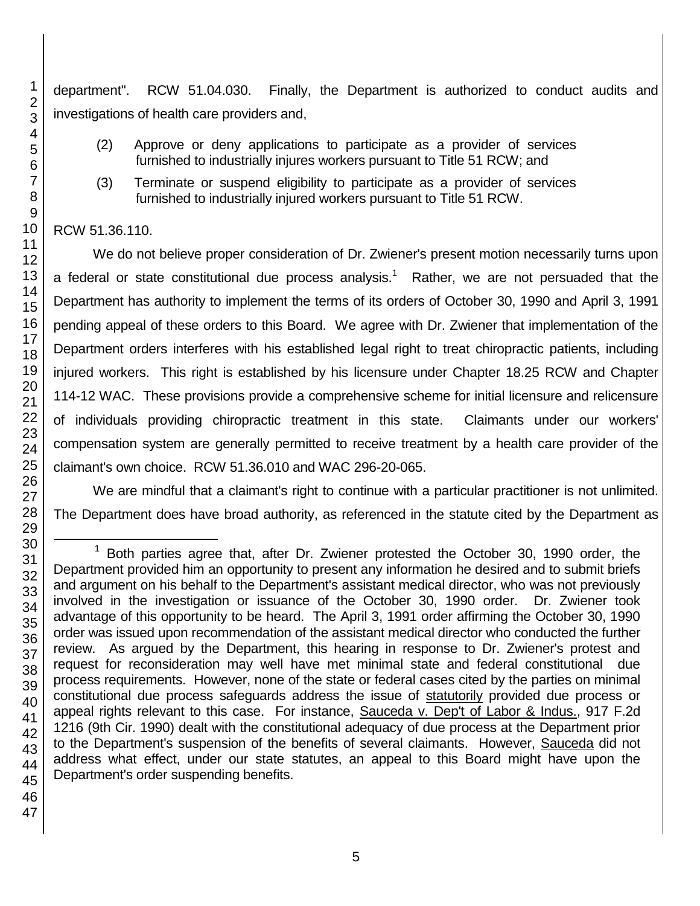department". RCW 51.04.030. Finally, the Department is authorized to conduct audits and investigations of health care providers and,

- (2) Approve or deny applications to participate as a provider of services furnished to industrially injures workers pursuant to Title 51 RCW; and
- (3) Terminate or suspend eligibility to participate as a provider of services furnished to industrially injured workers pursuant to Title 51 RCW.

### RCW 51.36.110.

We do not believe proper consideration of Dr. Zwiener's present motion necessarily turns upon a federal or state constitutional due process analysis.<sup>1</sup> Rather, we are not persuaded that the Department has authority to implement the terms of its orders of October 30, 1990 and April 3, 1991 pending appeal of these orders to this Board. We agree with Dr. Zwiener that implementation of the Department orders interferes with his established legal right to treat chiropractic patients, including injured workers. This right is established by his licensure under Chapter 18.25 RCW and Chapter 114-12 WAC. These provisions provide a comprehensive scheme for initial licensure and relicensure of individuals providing chiropractic treatment in this state. Claimants under our workers' compensation system are generally permitted to receive treatment by a health care provider of the claimant's own choice. RCW 51.36.010 and WAC 296-20-065.

We are mindful that a claimant's right to continue with a particular practitioner is not unlimited. The Department does have broad authority, as referenced in the statute cited by the Department as

l

1

<sup>1</sup> Both parties agree that, after Dr. Zwiener protested the October 30, 1990 order, the Department provided him an opportunity to present any information he desired and to submit briefs and argument on his behalf to the Department's assistant medical director, who was not previously involved in the investigation or issuance of the October 30, 1990 order. Dr. Zwiener took advantage of this opportunity to be heard. The April 3, 1991 order affirming the October 30, 1990 order was issued upon recommendation of the assistant medical director who conducted the further review. As argued by the Department, this hearing in response to Dr. Zwiener's protest and request for reconsideration may well have met minimal state and federal constitutional due process requirements. However, none of the state or federal cases cited by the parties on minimal constitutional due process safeguards address the issue of statutorily provided due process or appeal rights relevant to this case. For instance, Sauceda v. Dep't of Labor & Indus., 917 F.2d 1216 (9th Cir. 1990) dealt with the constitutional adequacy of due process at the Department prior to the Department's suspension of the benefits of several claimants. However, Sauceda did not address what effect, under our state statutes, an appeal to this Board might have upon the Department's order suspending benefits.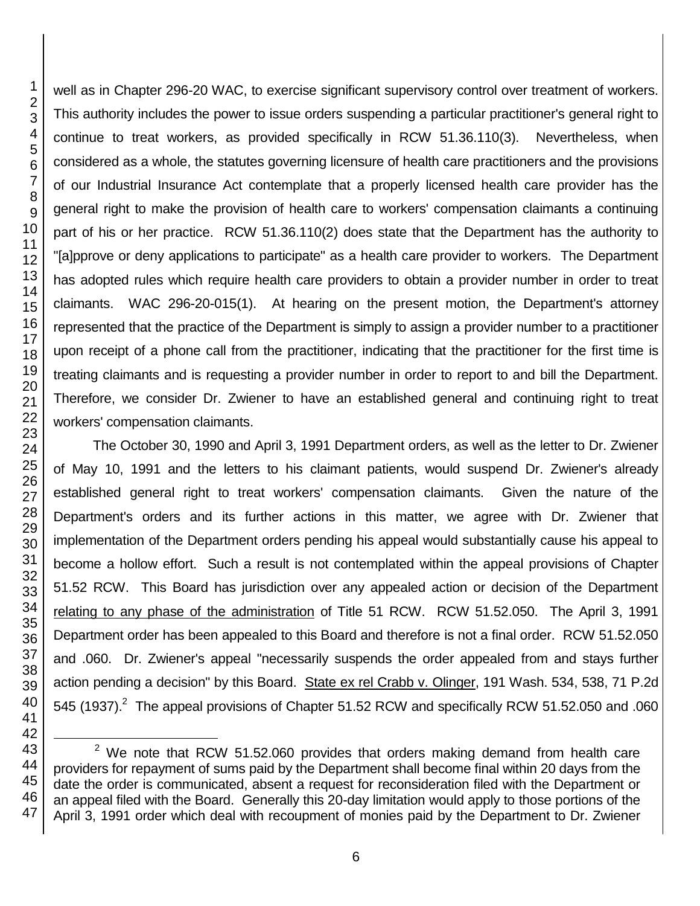l

well as in Chapter 296-20 WAC, to exercise significant supervisory control over treatment of workers. This authority includes the power to issue orders suspending a particular practitioner's general right to continue to treat workers, as provided specifically in RCW 51.36.110(3). Nevertheless, when considered as a whole, the statutes governing licensure of health care practitioners and the provisions of our Industrial Insurance Act contemplate that a properly licensed health care provider has the general right to make the provision of health care to workers' compensation claimants a continuing part of his or her practice. RCW 51.36.110(2) does state that the Department has the authority to "[a]pprove or deny applications to participate" as a health care provider to workers. The Department has adopted rules which require health care providers to obtain a provider number in order to treat claimants. WAC 296-20-015(1). At hearing on the present motion, the Department's attorney represented that the practice of the Department is simply to assign a provider number to a practitioner upon receipt of a phone call from the practitioner, indicating that the practitioner for the first time is treating claimants and is requesting a provider number in order to report to and bill the Department. Therefore, we consider Dr. Zwiener to have an established general and continuing right to treat workers' compensation claimants.

The October 30, 1990 and April 3, 1991 Department orders, as well as the letter to Dr. Zwiener of May 10, 1991 and the letters to his claimant patients, would suspend Dr. Zwiener's already established general right to treat workers' compensation claimants. Given the nature of the Department's orders and its further actions in this matter, we agree with Dr. Zwiener that implementation of the Department orders pending his appeal would substantially cause his appeal to become a hollow effort. Such a result is not contemplated within the appeal provisions of Chapter 51.52 RCW. This Board has jurisdiction over any appealed action or decision of the Department relating to any phase of the administration of Title 51 RCW. RCW 51.52.050. The April 3, 1991 Department order has been appealed to this Board and therefore is not a final order. RCW 51.52.050 and .060. Dr. Zwiener's appeal "necessarily suspends the order appealed from and stays further action pending a decision" by this Board. State ex rel Crabb v. Olinger, 191 Wash. 534, 538, 71 P.2d 545 (1937).<sup>2</sup> The appeal provisions of Chapter 51.52 RCW and specifically RCW 51.52.050 and .060

 We note that RCW 51.52.060 provides that orders making demand from health care providers for repayment of sums paid by the Department shall become final within 20 days from the date the order is communicated, absent a request for reconsideration filed with the Department or an appeal filed with the Board. Generally this 20-day limitation would apply to those portions of the April 3, 1991 order which deal with recoupment of monies paid by the Department to Dr. Zwiener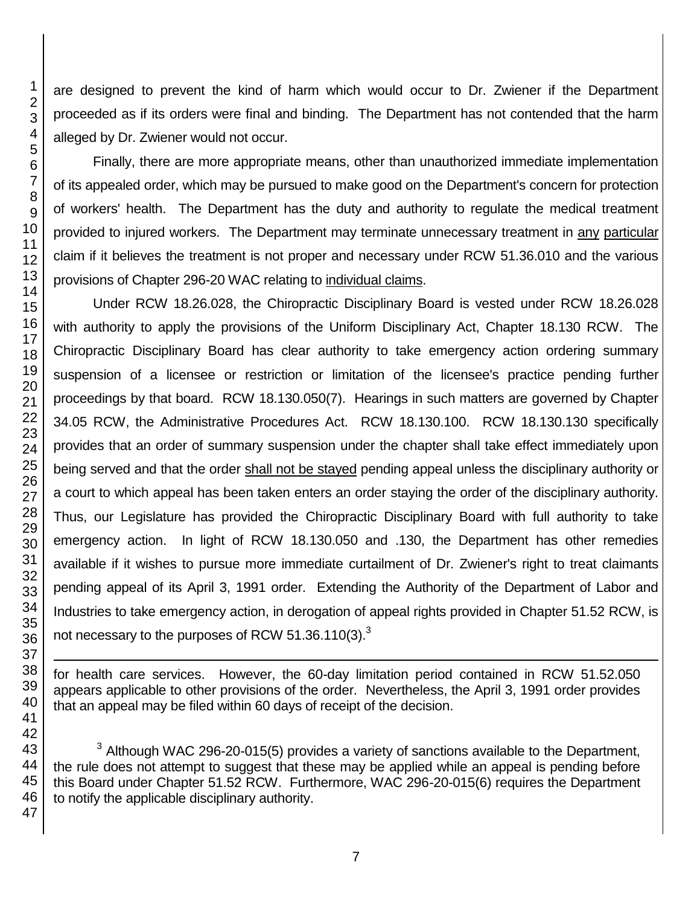are designed to prevent the kind of harm which would occur to Dr. Zwiener if the Department proceeded as if its orders were final and binding. The Department has not contended that the harm alleged by Dr. Zwiener would not occur.

Finally, there are more appropriate means, other than unauthorized immediate implementation of its appealed order, which may be pursued to make good on the Department's concern for protection of workers' health. The Department has the duty and authority to regulate the medical treatment provided to injured workers. The Department may terminate unnecessary treatment in any particular claim if it believes the treatment is not proper and necessary under RCW 51.36.010 and the various provisions of Chapter 296-20 WAC relating to individual claims.

Under RCW 18.26.028, the Chiropractic Disciplinary Board is vested under RCW 18.26.028 with authority to apply the provisions of the Uniform Disciplinary Act, Chapter 18.130 RCW. The Chiropractic Disciplinary Board has clear authority to take emergency action ordering summary suspension of a licensee or restriction or limitation of the licensee's practice pending further proceedings by that board. RCW 18.130.050(7). Hearings in such matters are governed by Chapter 34.05 RCW, the Administrative Procedures Act. RCW 18.130.100. RCW 18.130.130 specifically provides that an order of summary suspension under the chapter shall take effect immediately upon being served and that the order shall not be stayed pending appeal unless the disciplinary authority or a court to which appeal has been taken enters an order staying the order of the disciplinary authority. Thus, our Legislature has provided the Chiropractic Disciplinary Board with full authority to take emergency action. In light of RCW 18.130.050 and .130, the Department has other remedies available if it wishes to pursue more immediate curtailment of Dr. Zwiener's right to treat claimants pending appeal of its April 3, 1991 order. Extending the Authority of the Department of Labor and Industries to take emergency action, in derogation of appeal rights provided in Chapter 51.52 RCW, is not necessary to the purposes of RCW 51.36.110(3).

for health care services. However, the 60-day limitation period contained in RCW 51.52.050 appears applicable to other provisions of the order. Nevertheless, the April 3, 1991 order provides that an appeal may be filed within 60 days of receipt of the decision.

 Although WAC 296-20-015(5) provides a variety of sanctions available to the Department, the rule does not attempt to suggest that these may be applied while an appeal is pending before this Board under Chapter 51.52 RCW. Furthermore, WAC 296-20-015(6) requires the Department to notify the applicable disciplinary authority.